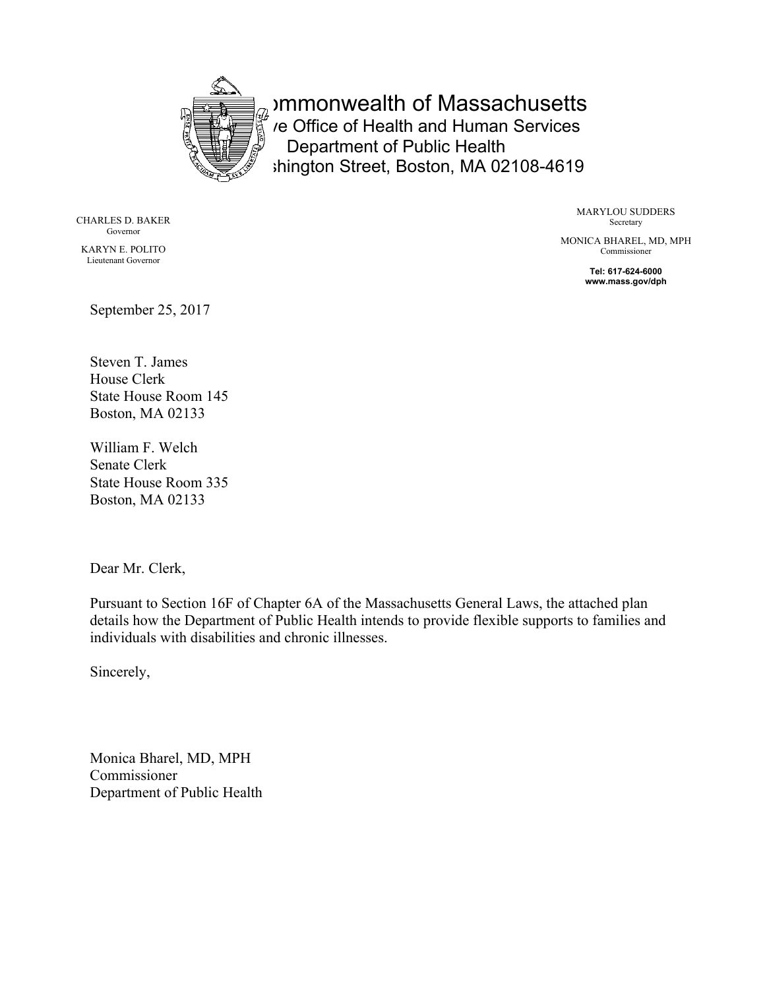

**Immonwealth of Massachusetts** /e Office of Health and Human Services Department of Public Health 250 Washington Street, Boston, MA 02108-4619

CHARLES D. BAKER Governor KARYN E. POLITO Lieutenant Governor

MARYLOU SUDDERS Secretary MONICA BHAREL, MD, MPH

> Commissioner **Tel: 617-624-6000 www.mass.gov/dph**

September 25, 2017

Steven T. James House Clerk State House Room 145 Boston, MA 02133

William F. Welch Senate Clerk State House Room 335 Boston, MA 02133

Dear Mr. Clerk,

Pursuant to Section 16F of Chapter 6A of the Massachusetts General Laws, the attached plan details how the Department of Public Health intends to provide flexible supports to families and individuals with disabilities and chronic illnesses.

Sincerely,

Monica Bharel, MD, MPH Commissioner Department of Public Health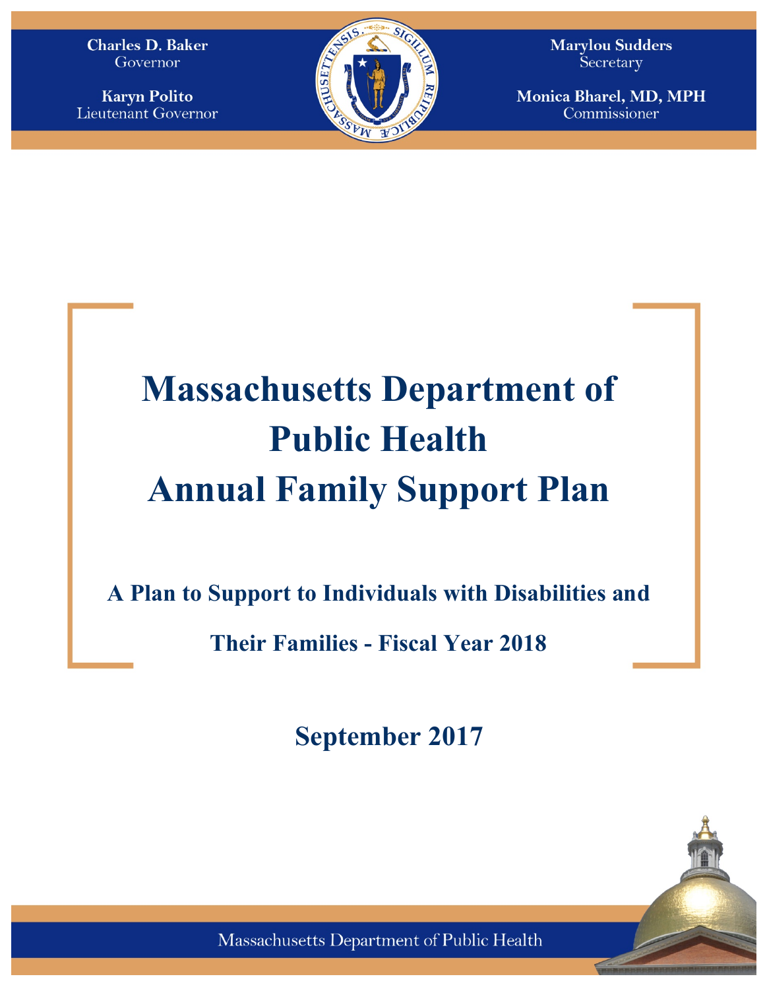**Charles D. Baker** Governor

**Karyn Polito** Lieutenant Governor



**Marylou Sudders** Secretary

Monica Bharel, MD, MPH Commissioner

# **Massachusetts Department of Public Health Annual Family Support Plan**

**A Plan to Support to Individuals with Disabilities and**

**Their Families - Fiscal Year 2018**

**September 2017**



Massachusetts Department of Public Health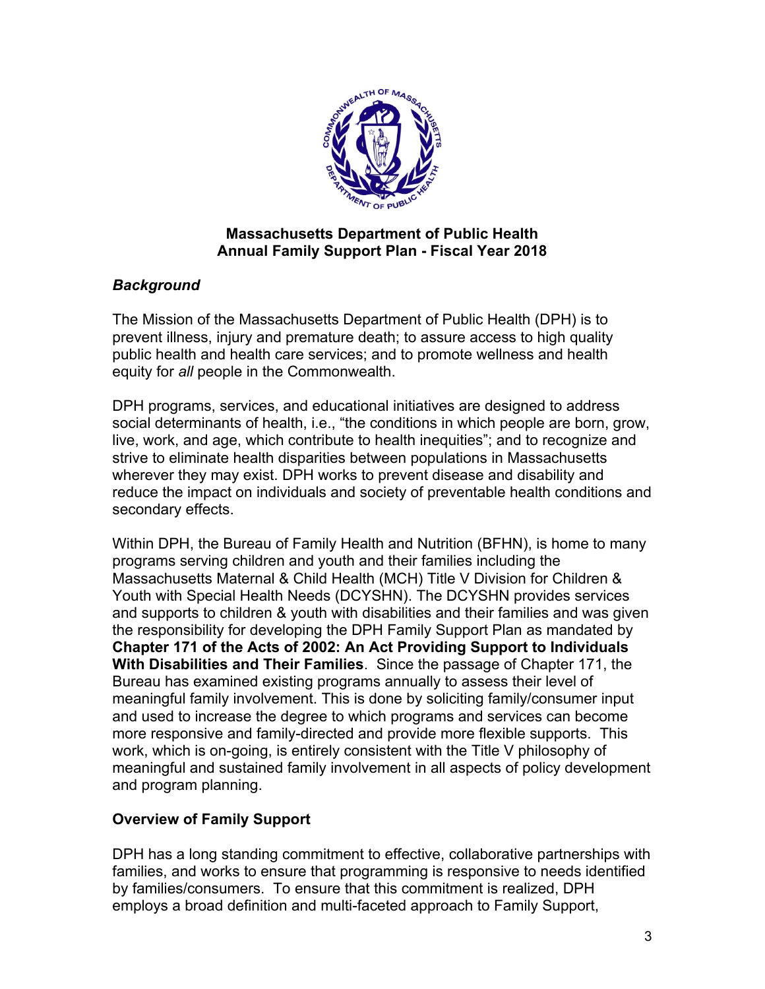

## **Massachusetts Department of Public Health Annual Family Support Plan - Fiscal Year 2018**

# *Background*

The Mission of the Massachusetts Department of Public Health (DPH) is to prevent illness, injury and premature death; to assure access to high quality public health and health care services; and to promote wellness and health equity for *all* people in the Commonwealth.

DPH programs, services, and educational initiatives are designed to address social determinants of health, i.e., "the conditions in which people are born, grow, live, work, and age, which contribute to health inequities"; and to recognize and strive to eliminate health disparities between populations in Massachusetts wherever they may exist. DPH works to prevent disease and disability and reduce the impact on individuals and society of preventable health conditions and secondary effects.

Within DPH, the Bureau of Family Health and Nutrition (BFHN), is home to many programs serving children and youth and their families including the Massachusetts Maternal & Child Health (MCH) Title V Division for Children & Youth with Special Health Needs (DCYSHN). The DCYSHN provides services and supports to children & youth with disabilities and their families and was given the responsibility for developing the DPH Family Support Plan as mandated by **Chapter 171 of the Acts of 2002: An Act Providing Support to Individuals With Disabilities and Their Families**. Since the passage of Chapter 171, the Bureau has examined existing programs annually to assess their level of meaningful family involvement. This is done by soliciting family/consumer input and used to increase the degree to which programs and services can become more responsive and family-directed and provide more flexible supports. This work, which is on-going, is entirely consistent with the Title V philosophy of meaningful and sustained family involvement in all aspects of policy development and program planning.

# **Overview of Family Support**

DPH has a long standing commitment to effective, collaborative partnerships with families, and works to ensure that programming is responsive to needs identified by families/consumers. To ensure that this commitment is realized, DPH employs a broad definition and multi-faceted approach to Family Support,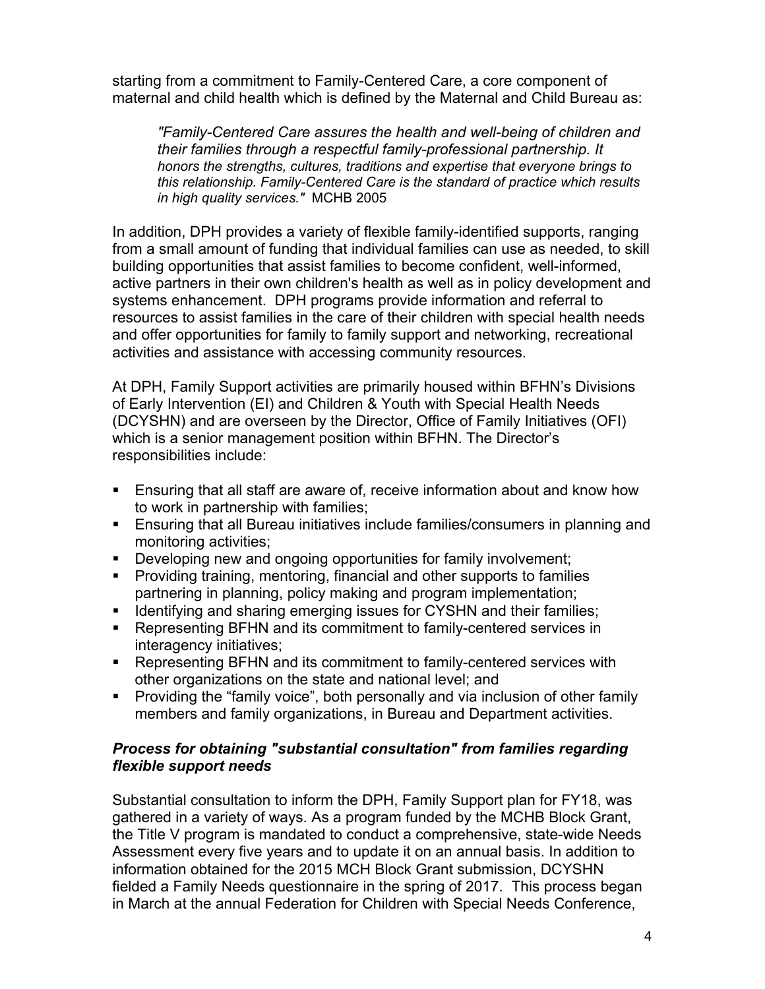starting from a commitment to Family-Centered Care, a core component of maternal and child health which is defined by the Maternal and Child Bureau as:

*"Family-Centered Care assures the health and well-being of children and their families through a respectful family-professional partnership. It honors the strengths, cultures, traditions and expertise that everyone brings to this relationship. Family-Centered Care is the standard of practice which results in high quality services."* MCHB 2005

In addition, DPH provides a variety of flexible family-identified supports, ranging from a small amount of funding that individual families can use as needed, to skill building opportunities that assist families to become confident, well-informed, active partners in their own children's health as well as in policy development and systems enhancement. DPH programs provide information and referral to resources to assist families in the care of their children with special health needs and offer opportunities for family to family support and networking, recreational activities and assistance with accessing community resources.

At DPH, Family Support activities are primarily housed within BFHN's Divisions of Early Intervention (EI) and Children & Youth with Special Health Needs (DCYSHN) and are overseen by the Director, Office of Family Initiatives (OFI) which is a senior management position within BFHN. The Director's responsibilities include:

- Ensuring that all staff are aware of, receive information about and know how to work in partnership with families;
- Ensuring that all Bureau initiatives include families/consumers in planning and monitoring activities;
- Developing new and ongoing opportunities for family involvement;
- **Providing training, mentoring, financial and other supports to families** partnering in planning, policy making and program implementation;
- **If Identifying and sharing emerging issues for CYSHN and their families;**
- Representing BFHN and its commitment to family-centered services in interagency initiatives;
- Representing BFHN and its commitment to family-centered services with other organizations on the state and national level; and
- Providing the "family voice", both personally and via inclusion of other family members and family organizations, in Bureau and Department activities.

## *Process for obtaining "substantial consultation" from families regarding flexible support needs*

Substantial consultation to inform the DPH, Family Support plan for FY18, was gathered in a variety of ways. As a program funded by the MCHB Block Grant, the Title V program is mandated to conduct a comprehensive, state-wide Needs Assessment every five years and to update it on an annual basis. In addition to information obtained for the 2015 MCH Block Grant submission, DCYSHN fielded a Family Needs questionnaire in the spring of 2017. This process began in March at the annual Federation for Children with Special Needs Conference,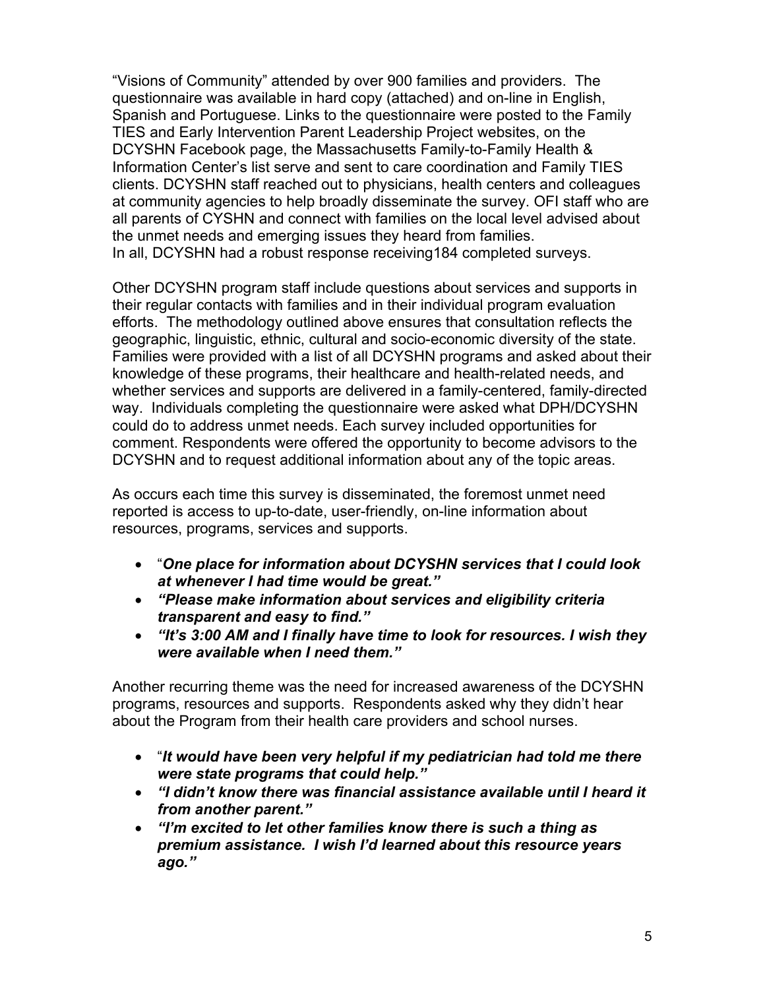"Visions of Community" attended by over 900 families and providers. The questionnaire was available in hard copy (attached) and on-line in English, Spanish and Portuguese. Links to the questionnaire were posted to the Family TIES and Early Intervention Parent Leadership Project websites, on the DCYSHN Facebook page, the Massachusetts Family-to-Family Health & Information Center's list serve and sent to care coordination and Family TIES clients. DCYSHN staff reached out to physicians, health centers and colleagues at community agencies to help broadly disseminate the survey. OFI staff who are all parents of CYSHN and connect with families on the local level advised about the unmet needs and emerging issues they heard from families. In all, DCYSHN had a robust response receiving184 completed surveys.

Other DCYSHN program staff include questions about services and supports in their regular contacts with families and in their individual program evaluation efforts. The methodology outlined above ensures that consultation reflects the geographic, linguistic, ethnic, cultural and socio-economic diversity of the state. Families were provided with a list of all DCYSHN programs and asked about their knowledge of these programs, their healthcare and health-related needs, and whether services and supports are delivered in a family-centered, family-directed way. Individuals completing the questionnaire were asked what DPH/DCYSHN could do to address unmet needs. Each survey included opportunities for comment. Respondents were offered the opportunity to become advisors to the DCYSHN and to request additional information about any of the topic areas.

As occurs each time this survey is disseminated, the foremost unmet need reported is access to up-to-date, user-friendly, on-line information about resources, programs, services and supports.

- "*One place for information about DCYSHN services that I could look at whenever I had time would be great."*
- *"Please make information about services and eligibility criteria transparent and easy to find."*
- *"It's 3:00 AM and I finally have time to look for resources. I wish they were available when I need them."*

Another recurring theme was the need for increased awareness of the DCYSHN programs, resources and supports. Respondents asked why they didn't hear about the Program from their health care providers and school nurses.

- "*It would have been very helpful if my pediatrician had told me there were state programs that could help."*
- *"I didn't know there was financial assistance available until I heard it from another parent."*
- *"I'm excited to let other families know there is such a thing as premium assistance. I wish I'd learned about this resource years ago."*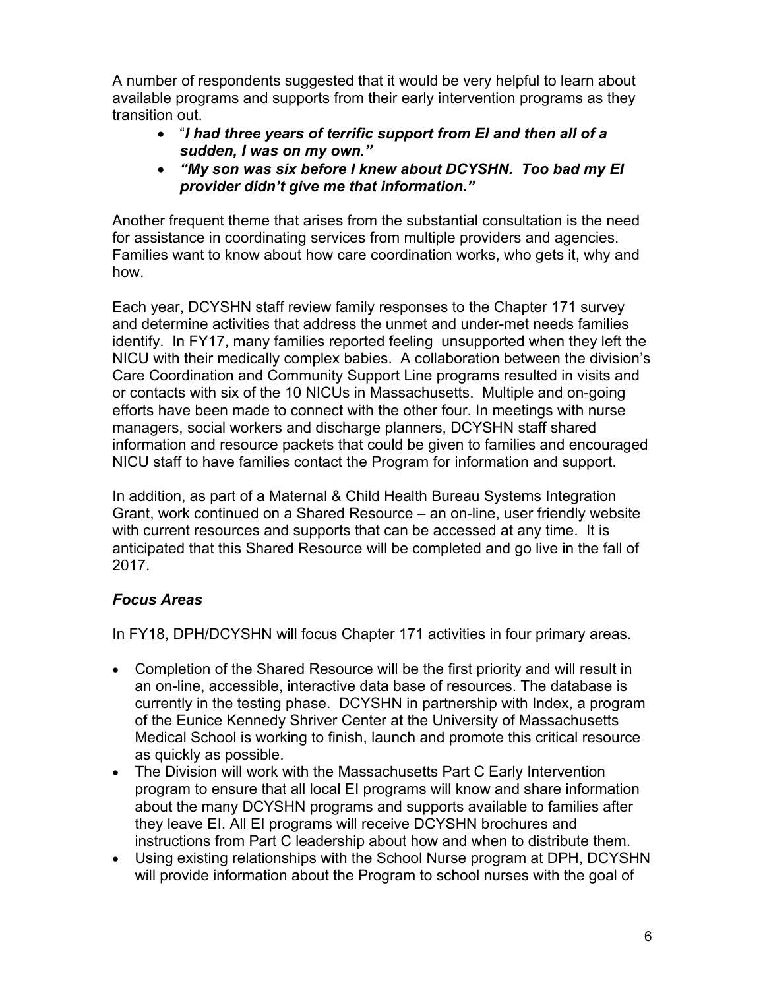A number of respondents suggested that it would be very helpful to learn about available programs and supports from their early intervention programs as they transition out.

- "*I had three years of terrific support from EI and then all of a sudden, I was on my own."*
- *"My son was six before I knew about DCYSHN. Too bad my EI provider didn't give me that information."*

Another frequent theme that arises from the substantial consultation is the need for assistance in coordinating services from multiple providers and agencies. Families want to know about how care coordination works, who gets it, why and how.

Each year, DCYSHN staff review family responses to the Chapter 171 survey and determine activities that address the unmet and under-met needs families identify. In FY17, many families reported feeling unsupported when they left the NICU with their medically complex babies. A collaboration between the division's Care Coordination and Community Support Line programs resulted in visits and or contacts with six of the 10 NICUs in Massachusetts. Multiple and on-going efforts have been made to connect with the other four. In meetings with nurse managers, social workers and discharge planners, DCYSHN staff shared information and resource packets that could be given to families and encouraged NICU staff to have families contact the Program for information and support.

In addition, as part of a Maternal & Child Health Bureau Systems Integration Grant, work continued on a Shared Resource – an on-line, user friendly website with current resources and supports that can be accessed at any time. It is anticipated that this Shared Resource will be completed and go live in the fall of 2017.

## *Focus Areas*

In FY18, DPH/DCYSHN will focus Chapter 171 activities in four primary areas.

- Completion of the Shared Resource will be the first priority and will result in an on-line, accessible, interactive data base of resources. The database is currently in the testing phase. DCYSHN in partnership with Index, a program of the Eunice Kennedy Shriver Center at the University of Massachusetts Medical School is working to finish, launch and promote this critical resource as quickly as possible.
- The Division will work with the Massachusetts Part C Early Intervention program to ensure that all local EI programs will know and share information about the many DCYSHN programs and supports available to families after they leave EI. All EI programs will receive DCYSHN brochures and instructions from Part C leadership about how and when to distribute them.
- Using existing relationships with the School Nurse program at DPH, DCYSHN will provide information about the Program to school nurses with the goal of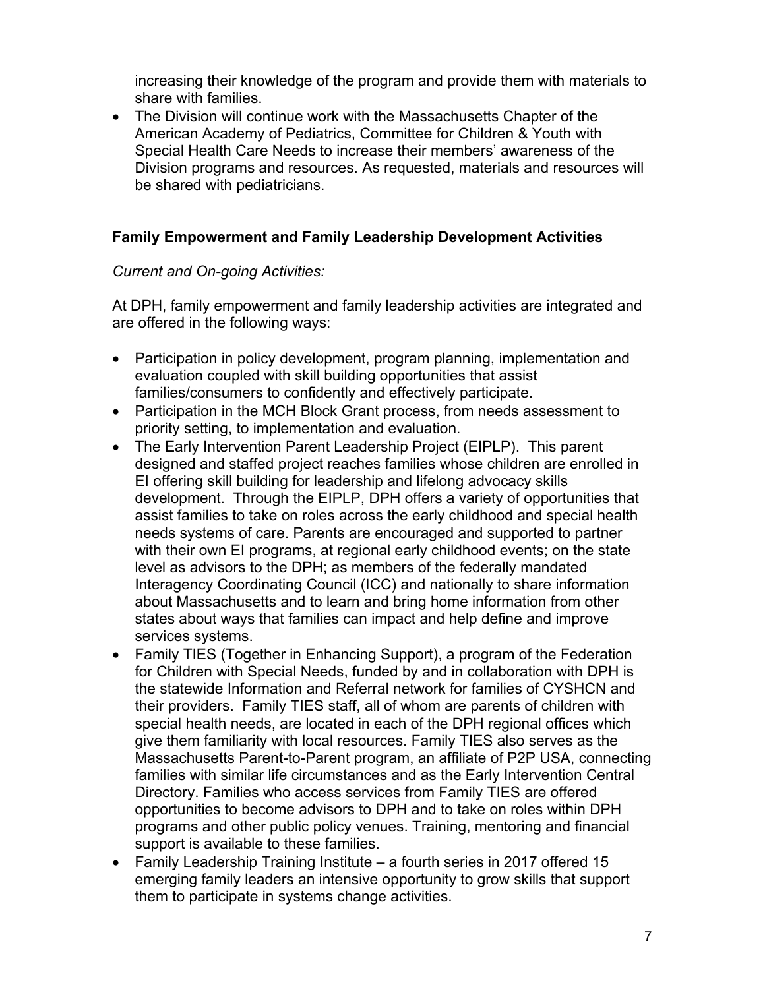increasing their knowledge of the program and provide them with materials to share with families.

• The Division will continue work with the Massachusetts Chapter of the American Academy of Pediatrics, Committee for Children & Youth with Special Health Care Needs to increase their members' awareness of the Division programs and resources. As requested, materials and resources will be shared with pediatricians.

# **Family Empowerment and Family Leadership Development Activities**

## *Current and On-going Activities:*

At DPH, family empowerment and family leadership activities are integrated and are offered in the following ways:

- Participation in policy development, program planning, implementation and evaluation coupled with skill building opportunities that assist families/consumers to confidently and effectively participate.
- Participation in the MCH Block Grant process, from needs assessment to priority setting, to implementation and evaluation.
- The Early Intervention Parent Leadership Project (EIPLP). This parent designed and staffed project reaches families whose children are enrolled in EI offering skill building for leadership and lifelong advocacy skills development. Through the EIPLP, DPH offers a variety of opportunities that assist families to take on roles across the early childhood and special health needs systems of care. Parents are encouraged and supported to partner with their own EI programs, at regional early childhood events; on the state level as advisors to the DPH; as members of the federally mandated Interagency Coordinating Council (ICC) and nationally to share information about Massachusetts and to learn and bring home information from other states about ways that families can impact and help define and improve services systems.
- Family TIES (Together in Enhancing Support), a program of the Federation for Children with Special Needs, funded by and in collaboration with DPH is the statewide Information and Referral network for families of CYSHCN and their providers. Family TIES staff, all of whom are parents of children with special health needs, are located in each of the DPH regional offices which give them familiarity with local resources. Family TIES also serves as the Massachusetts Parent-to-Parent program, an affiliate of P2P USA, connecting families with similar life circumstances and as the Early Intervention Central Directory. Families who access services from Family TIES are offered opportunities to become advisors to DPH and to take on roles within DPH programs and other public policy venues. Training, mentoring and financial support is available to these families.
- Family Leadership Training Institute a fourth series in 2017 offered 15 emerging family leaders an intensive opportunity to grow skills that support them to participate in systems change activities.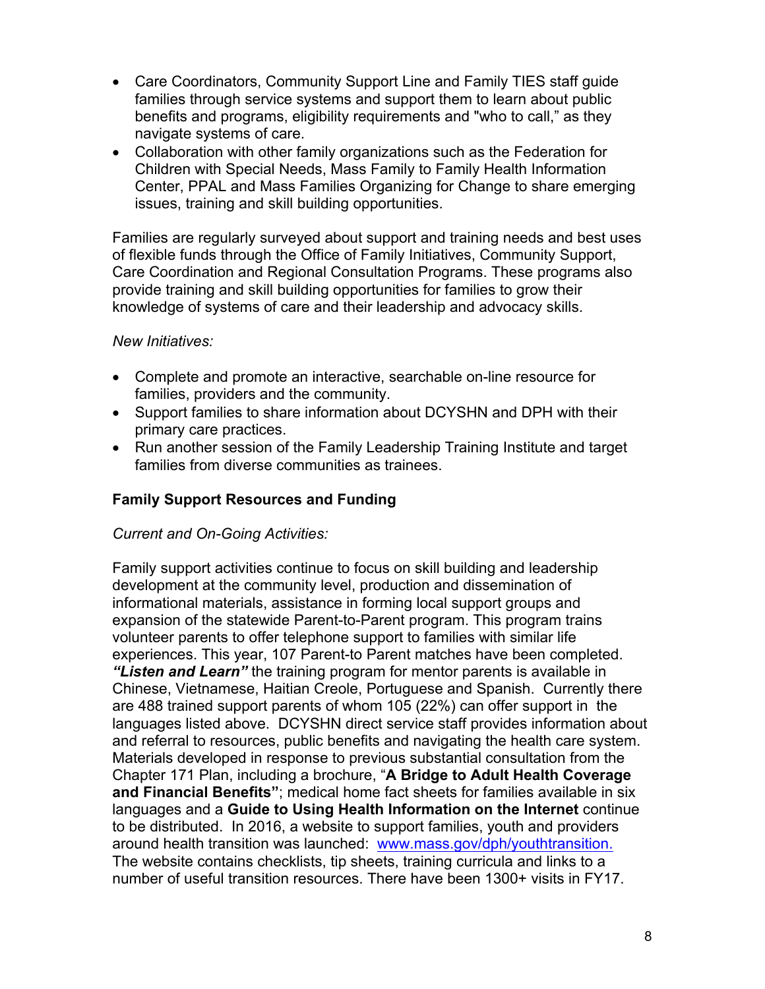- Care Coordinators, Community Support Line and Family TIES staff guide families through service systems and support them to learn about public benefits and programs, eligibility requirements and "who to call," as they navigate systems of care.
- Collaboration with other family organizations such as the Federation for Children with Special Needs, Mass Family to Family Health Information Center, PPAL and Mass Families Organizing for Change to share emerging issues, training and skill building opportunities.

Families are regularly surveyed about support and training needs and best uses of flexible funds through the Office of Family Initiatives, Community Support, Care Coordination and Regional Consultation Programs. These programs also provide training and skill building opportunities for families to grow their knowledge of systems of care and their leadership and advocacy skills.

#### *New Initiatives:*

- Complete and promote an interactive, searchable on-line resource for families, providers and the community.
- Support families to share information about DCYSHN and DPH with their primary care practices.
- Run another session of the Family Leadership Training Institute and target families from diverse communities as trainees.

# **Family Support Resources and Funding**

## *Current and On-Going Activities:*

Family support activities continue to focus on skill building and leadership development at the community level, production and dissemination of informational materials, assistance in forming local support groups and expansion of the statewide Parent-to-Parent program. This program trains volunteer parents to offer telephone support to families with similar life experiences. This year, 107 Parent-to Parent matches have been completed. *"Listen and Learn"* the training program for mentor parents is available in Chinese, Vietnamese, Haitian Creole, Portuguese and Spanish. Currently there are 488 trained support parents of whom 105 (22%) can offer support in the languages listed above. DCYSHN direct service staff provides information about and referral to resources, public benefits and navigating the health care system. Materials developed in response to previous substantial consultation from the Chapter 171 Plan, including a brochure, "**A Bridge to Adult Health Coverage and Financial Benefits"**; medical home fact sheets for families available in six languages and a **Guide to Using Health Information on the Internet** continue to be distributed. In 2016, a website to support families, youth and providers around health transition was launched: [www.mass.gov/dph/youthtransition.](http://www.mass.gov/dph/youthtransition) The website contains checklists, tip sheets, training curricula and links to a number of useful transition resources. There have been 1300+ visits in FY17.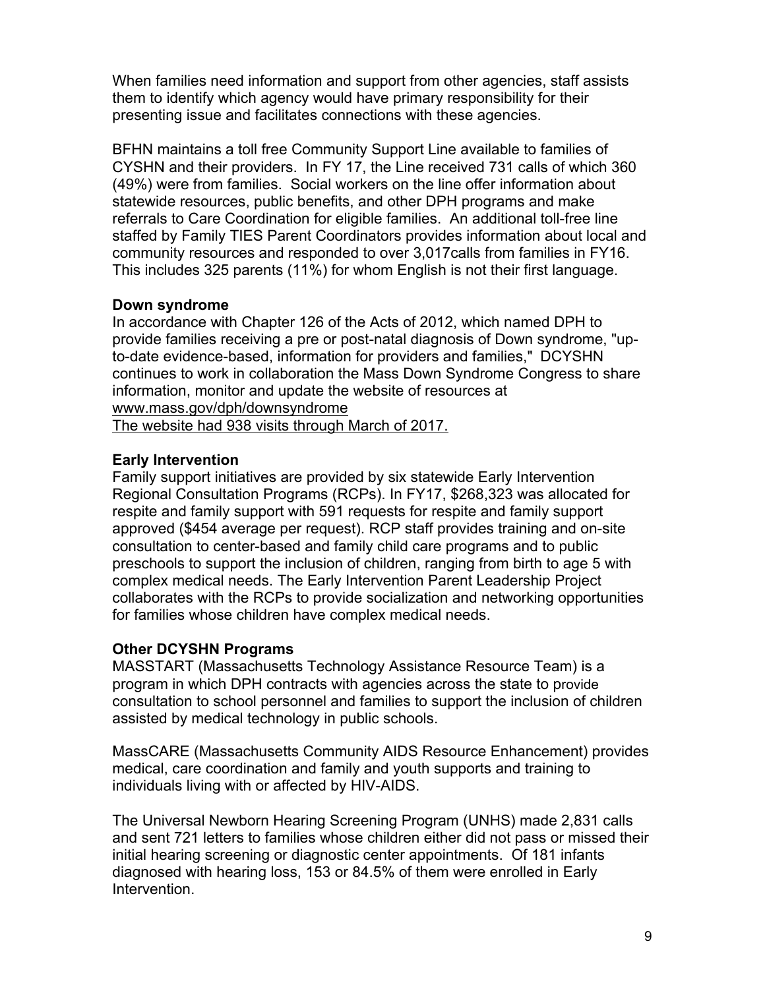When families need information and support from other agencies, staff assists them to identify which agency would have primary responsibility for their presenting issue and facilitates connections with these agencies.

BFHN maintains a toll free Community Support Line available to families of CYSHN and their providers. In FY 17, the Line received 731 calls of which 360 (49%) were from families. Social workers on the line offer information about statewide resources, public benefits, and other DPH programs and make referrals to Care Coordination for eligible families. An additional toll-free line staffed by Family TIES Parent Coordinators provides information about local and community resources and responded to over 3,017calls from families in FY16. This includes 325 parents (11%) for whom English is not their first language.

## **Down syndrome**

In accordance with Chapter 126 of the Acts of 2012, which named DPH to provide families receiving a pre or post-natal diagnosis of Down syndrome, "upto-date evidence-based, information for providers and families," DCYSHN continues to work in collaboration the Mass Down Syndrome Congress to share information, monitor and update the website of resources at [www.mass.gov/dph/downsyndrome](http://www.mass.gov/dph/downsyndrome) 

The website had 938 visits through March of 2017.

# **Early Intervention**

Family support initiatives are provided by six statewide Early Intervention Regional Consultation Programs (RCPs). In FY17, \$268,323 was allocated for respite and family support with 591 requests for respite and family support approved (\$454 average per request). RCP staff provides training and on-site consultation to center-based and family child care programs and to public preschools to support the inclusion of children, ranging from birth to age 5 with complex medical needs. The Early Intervention Parent Leadership Project collaborates with the RCPs to provide socialization and networking opportunities for families whose children have complex medical needs.

# **Other DCYSHN Programs**

MASSTART (Massachusetts Technology Assistance Resource Team) is a program in which DPH contracts with agencies across the state to provide consultation to school personnel and families to support the inclusion of children assisted by medical technology in public schools.

MassCARE (Massachusetts Community AIDS Resource Enhancement) provides medical, care coordination and family and youth supports and training to individuals living with or affected by HIV-AIDS.

The Universal Newborn Hearing Screening Program (UNHS) made 2,831 calls and sent 721 letters to families whose children either did not pass or missed their initial hearing screening or diagnostic center appointments. Of 181 infants diagnosed with hearing loss, 153 or 84.5% of them were enrolled in Early Intervention.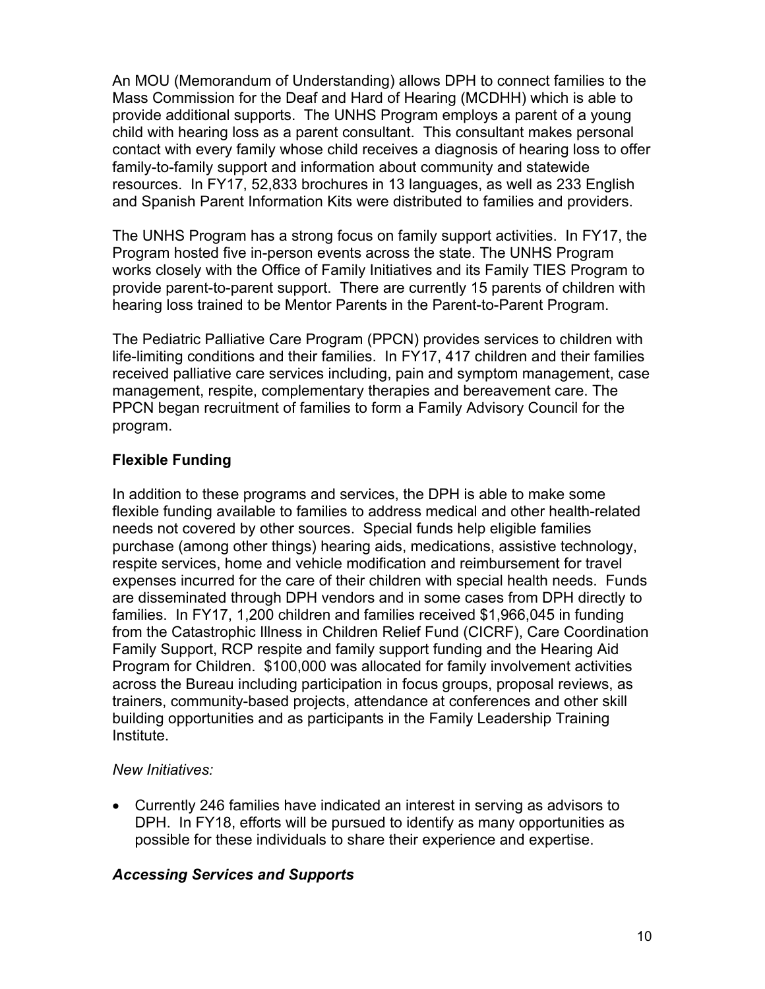An MOU (Memorandum of Understanding) allows DPH to connect families to the Mass Commission for the Deaf and Hard of Hearing (MCDHH) which is able to provide additional supports. The UNHS Program employs a parent of a young child with hearing loss as a parent consultant. This consultant makes personal contact with every family whose child receives a diagnosis of hearing loss to offer family-to-family support and information about community and statewide resources. In FY17, 52,833 brochures in 13 languages, as well as 233 English and Spanish Parent Information Kits were distributed to families and providers.

The UNHS Program has a strong focus on family support activities. In FY17, the Program hosted five in-person events across the state. The UNHS Program works closely with the Office of Family Initiatives and its Family TIES Program to provide parent-to-parent support. There are currently 15 parents of children with hearing loss trained to be Mentor Parents in the Parent-to-Parent Program.

The Pediatric Palliative Care Program (PPCN) provides services to children with life-limiting conditions and their families. In FY17, 417 children and their families received palliative care services including, pain and symptom management, case management, respite, complementary therapies and bereavement care. The PPCN began recruitment of families to form a Family Advisory Council for the program.

# **Flexible Funding**

In addition to these programs and services, the DPH is able to make some flexible funding available to families to address medical and other health-related needs not covered by other sources. Special funds help eligible families purchase (among other things) hearing aids, medications, assistive technology, respite services, home and vehicle modification and reimbursement for travel expenses incurred for the care of their children with special health needs. Funds are disseminated through DPH vendors and in some cases from DPH directly to families. In FY17, 1,200 children and families received \$1,966,045 in funding from the Catastrophic Illness in Children Relief Fund (CICRF), Care Coordination Family Support, RCP respite and family support funding and the Hearing Aid Program for Children. \$100,000 was allocated for family involvement activities across the Bureau including participation in focus groups, proposal reviews, as trainers, community-based projects, attendance at conferences and other skill building opportunities and as participants in the Family Leadership Training Institute.

## *New Initiatives:*

 Currently 246 families have indicated an interest in serving as advisors to DPH. In FY18, efforts will be pursued to identify as many opportunities as possible for these individuals to share their experience and expertise.

## *Accessing Services and Supports*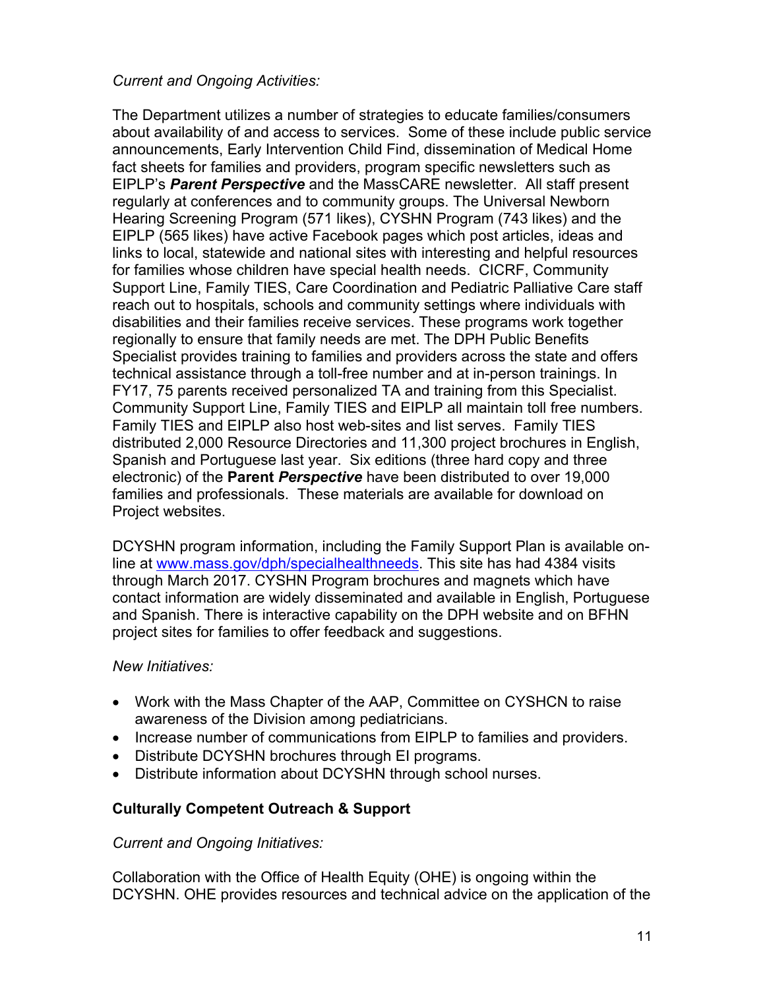#### *Current and Ongoing Activities:*

The Department utilizes a number of strategies to educate families/consumers about availability of and access to services. Some of these include public service announcements, Early Intervention Child Find, dissemination of Medical Home fact sheets for families and providers, program specific newsletters such as EIPLP's *Parent Perspective* and the MassCARE newsletter. All staff present regularly at conferences and to community groups. The Universal Newborn Hearing Screening Program (571 likes), CYSHN Program (743 likes) and the EIPLP (565 likes) have active Facebook pages which post articles, ideas and links to local, statewide and national sites with interesting and helpful resources for families whose children have special health needs. CICRF, Community Support Line, Family TIES, Care Coordination and Pediatric Palliative Care staff reach out to hospitals, schools and community settings where individuals with disabilities and their families receive services. These programs work together regionally to ensure that family needs are met. The DPH Public Benefits Specialist provides training to families and providers across the state and offers technical assistance through a toll-free number and at in-person trainings. In FY17, 75 parents received personalized TA and training from this Specialist. Community Support Line, Family TIES and EIPLP all maintain toll free numbers. Family TIES and EIPLP also host web-sites and list serves. Family TIES distributed 2,000 Resource Directories and 11,300 project brochures in English, Spanish and Portuguese last year. Six editions (three hard copy and three electronic) of the **Parent** *Perspective* have been distributed to over 19,000 families and professionals. These materials are available for download on Project websites.

DCYSHN program information, including the Family Support Plan is available online at [www.mass.gov/dph/specialhealthneeds](http://www.mass.gov/dph/specialhealthneeds). This site has had 4384 visits through March 2017. CYSHN Program brochures and magnets which have contact information are widely disseminated and available in English, Portuguese and Spanish. There is interactive capability on the DPH website and on BFHN project sites for families to offer feedback and suggestions.

#### *New Initiatives:*

- Work with the Mass Chapter of the AAP, Committee on CYSHCN to raise awareness of the Division among pediatricians.
- Increase number of communications from EIPLP to families and providers.
- Distribute DCYSHN brochures through EI programs.
- Distribute information about DCYSHN through school nurses.

## **Culturally Competent Outreach & Support**

#### *Current and Ongoing Initiatives:*

Collaboration with the Office of Health Equity (OHE) is ongoing within the DCYSHN. OHE provides resources and technical advice on the application of the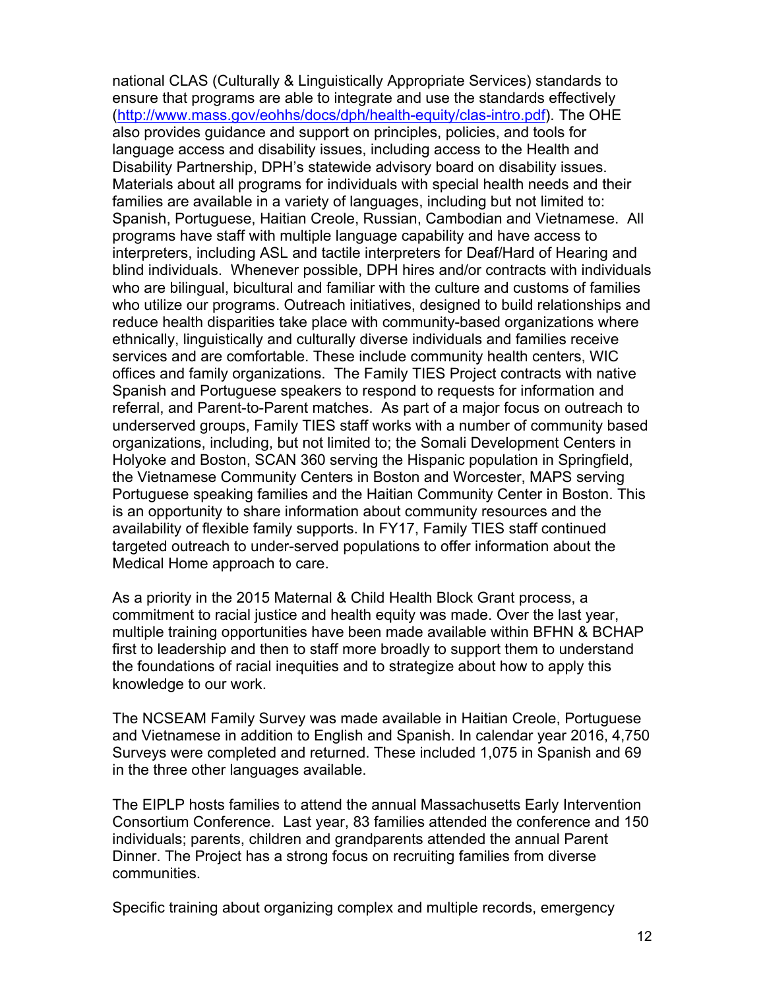national CLAS (Culturally & Linguistically Appropriate Services) standards to ensure that programs are able to integrate and use the standards effectively ([http://www.mass.gov/eohhs/docs/dph/health-equity/clas-intro.pdf\)](http://www.mass.gov/eohhs/docs/dph/health-equity/clas-intro.pdf). The OHE also provides guidance and support on principles, policies, and tools for language access and disability issues, including access to the Health and Disability Partnership, DPH's statewide advisory board on disability issues. Materials about all programs for individuals with special health needs and their families are available in a variety of languages, including but not limited to: Spanish, Portuguese, Haitian Creole, Russian, Cambodian and Vietnamese. All programs have staff with multiple language capability and have access to interpreters, including ASL and tactile interpreters for Deaf/Hard of Hearing and blind individuals. Whenever possible, DPH hires and/or contracts with individuals who are bilingual, bicultural and familiar with the culture and customs of families who utilize our programs. Outreach initiatives, designed to build relationships and reduce health disparities take place with community-based organizations where ethnically, linguistically and culturally diverse individuals and families receive services and are comfortable. These include community health centers, WIC offices and family organizations. The Family TIES Project contracts with native Spanish and Portuguese speakers to respond to requests for information and referral, and Parent-to-Parent matches. As part of a major focus on outreach to underserved groups, Family TIES staff works with a number of community based organizations, including, but not limited to; the Somali Development Centers in Holyoke and Boston, SCAN 360 serving the Hispanic population in Springfield, the Vietnamese Community Centers in Boston and Worcester, MAPS serving Portuguese speaking families and the Haitian Community Center in Boston. This is an opportunity to share information about community resources and the availability of flexible family supports. In FY17, Family TIES staff continued targeted outreach to under-served populations to offer information about the Medical Home approach to care.

As a priority in the 2015 Maternal & Child Health Block Grant process, a commitment to racial justice and health equity was made. Over the last year, multiple training opportunities have been made available within BFHN & BCHAP first to leadership and then to staff more broadly to support them to understand the foundations of racial inequities and to strategize about how to apply this knowledge to our work.

The NCSEAM Family Survey was made available in Haitian Creole, Portuguese and Vietnamese in addition to English and Spanish. In calendar year 2016, 4,750 Surveys were completed and returned. These included 1,075 in Spanish and 69 in the three other languages available.

The EIPLP hosts families to attend the annual Massachusetts Early Intervention Consortium Conference. Last year, 83 families attended the conference and 150 individuals; parents, children and grandparents attended the annual Parent Dinner. The Project has a strong focus on recruiting families from diverse communities.

Specific training about organizing complex and multiple records, emergency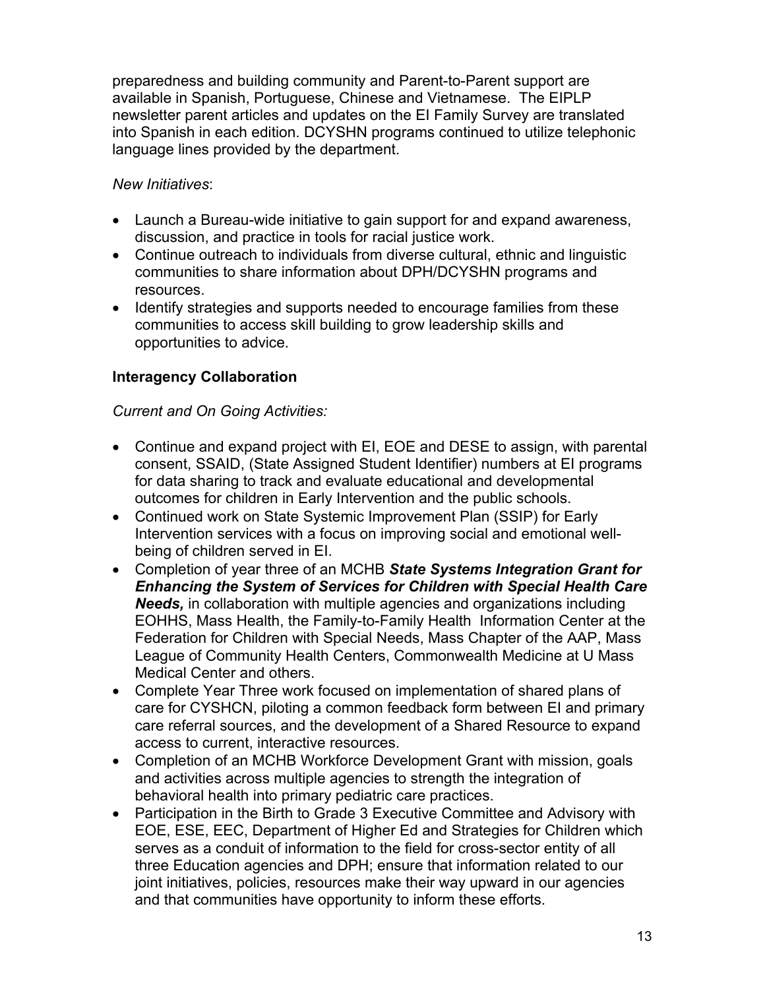preparedness and building community and Parent-to-Parent support are available in Spanish, Portuguese, Chinese and Vietnamese. The EIPLP newsletter parent articles and updates on the EI Family Survey are translated into Spanish in each edition. DCYSHN programs continued to utilize telephonic language lines provided by the department.

# *New Initiatives*:

- Launch a Bureau-wide initiative to gain support for and expand awareness, discussion, and practice in tools for racial justice work.
- Continue outreach to individuals from diverse cultural, ethnic and linguistic communities to share information about DPH/DCYSHN programs and resources.
- Identify strategies and supports needed to encourage families from these communities to access skill building to grow leadership skills and opportunities to advice.

# **Interagency Collaboration**

# *Current and On Going Activities:*

- Continue and expand project with EI, EOE and DESE to assign, with parental consent, SSAID, (State Assigned Student Identifier) numbers at EI programs for data sharing to track and evaluate educational and developmental outcomes for children in Early Intervention and the public schools.
- Continued work on State Systemic Improvement Plan (SSIP) for Early Intervention services with a focus on improving social and emotional wellbeing of children served in EI.
- Completion of year three of an MCHB *State Systems Integration Grant for Enhancing the System of Services for Children with Special Health Care Needs,* in collaboration with multiple agencies and organizations including EOHHS, Mass Health, the Family-to-Family Health Information Center at the Federation for Children with Special Needs, Mass Chapter of the AAP, Mass League of Community Health Centers, Commonwealth Medicine at U Mass Medical Center and others.
- Complete Year Three work focused on implementation of shared plans of care for CYSHCN, piloting a common feedback form between EI and primary care referral sources, and the development of a Shared Resource to expand access to current, interactive resources.
- Completion of an MCHB Workforce Development Grant with mission, goals and activities across multiple agencies to strength the integration of behavioral health into primary pediatric care practices.
- Participation in the Birth to Grade 3 Executive Committee and Advisory with EOE, ESE, EEC, Department of Higher Ed and Strategies for Children which serves as a conduit of information to the field for cross-sector entity of all three Education agencies and DPH; ensure that information related to our joint initiatives, policies, resources make their way upward in our agencies and that communities have opportunity to inform these efforts.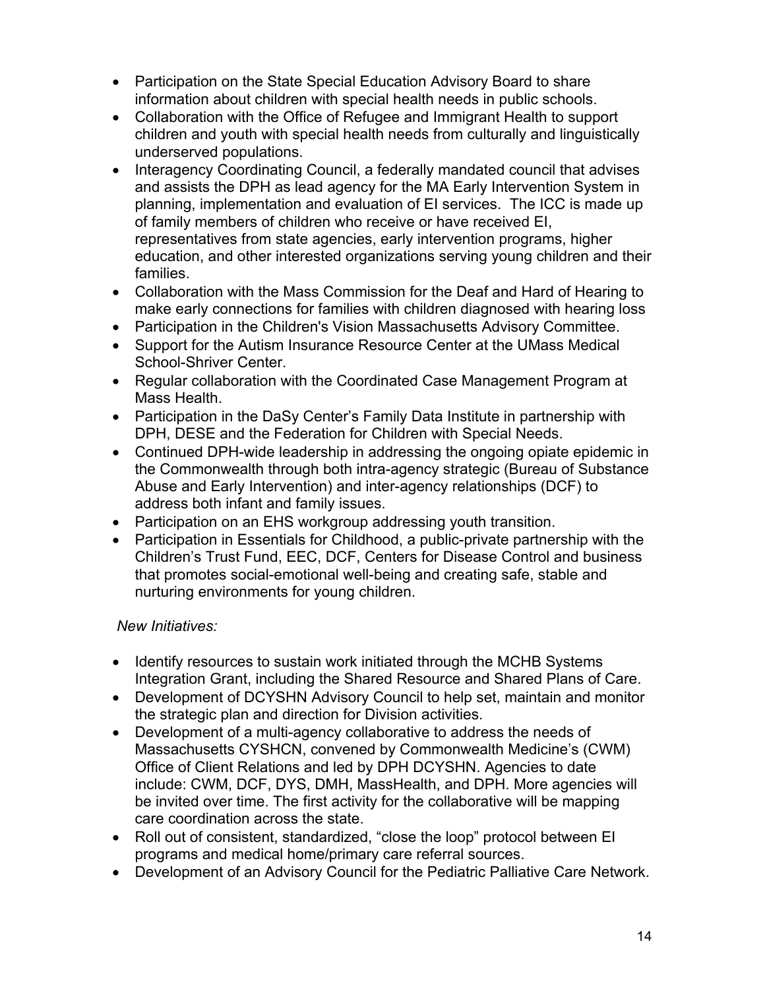- Participation on the State Special Education Advisory Board to share information about children with special health needs in public schools.
- Collaboration with the Office of Refugee and Immigrant Health to support children and youth with special health needs from culturally and linguistically underserved populations.
- Interagency Coordinating Council, a federally mandated council that advises and assists the DPH as lead agency for the MA Early Intervention System in planning, implementation and evaluation of EI services. The ICC is made up of family members of children who receive or have received EI, representatives from state agencies, early intervention programs, higher education, and other interested organizations serving young children and their families.
- Collaboration with the Mass Commission for the Deaf and Hard of Hearing to make early connections for families with children diagnosed with hearing loss
- Participation in the Children's Vision Massachusetts Advisory Committee.
- Support for the Autism Insurance Resource Center at the UMass Medical School-Shriver Center.
- Regular collaboration with the Coordinated Case Management Program at Mass Health.
- Participation in the DaSy Center's Family Data Institute in partnership with DPH, DESE and the Federation for Children with Special Needs.
- Continued DPH-wide leadership in addressing the ongoing opiate epidemic in the Commonwealth through both intra-agency strategic (Bureau of Substance Abuse and Early Intervention) and inter-agency relationships (DCF) to address both infant and family issues.
- Participation on an EHS workgroup addressing youth transition.
- Participation in Essentials for Childhood, a public-private partnership with the Children's Trust Fund, EEC, DCF, Centers for Disease Control and business that promotes social-emotional well-being and creating safe, stable and nurturing environments for young children.

# *New Initiatives:*

- Identify resources to sustain work initiated through the MCHB Systems Integration Grant, including the Shared Resource and Shared Plans of Care.
- Development of DCYSHN Advisory Council to help set, maintain and monitor the strategic plan and direction for Division activities.
- Development of a multi-agency collaborative to address the needs of Massachusetts CYSHCN, convened by Commonwealth Medicine's (CWM) Office of Client Relations and led by DPH DCYSHN. Agencies to date include: CWM, DCF, DYS, DMH, MassHealth, and DPH. More agencies will be invited over time. The first activity for the collaborative will be mapping care coordination across the state.
- Roll out of consistent, standardized, "close the loop" protocol between EI programs and medical home/primary care referral sources.
- Development of an Advisory Council for the Pediatric Palliative Care Network.